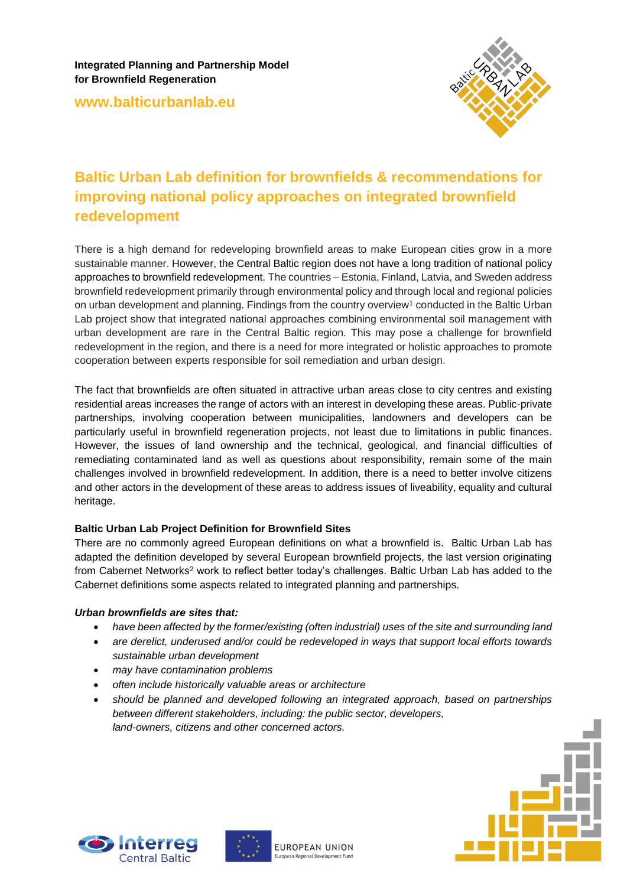**Integrated Planning and Partnership Model for Brownfield Regeneration**

**www.balticurbanlab.eu**



# **Baltic Urban Lab definition for brownfields & recommendations for improving national policy approaches on integrated brownfield redevelopment**

There is a high demand for redeveloping brownfield areas to make European cities grow in a more sustainable manner. However, the Central Baltic region does not have a long tradition of national policy approaches to brownfield redevelopment. The countries – Estonia, Finland, Latvia, and Sweden address brownfield redevelopment primarily through environmental policy and through local and regional policies on urban development and planning. Findings from the country overview<sup>1</sup> conducted in the Baltic Urban Lab project show that integrated national approaches combining environmental soil management with urban development are rare in the Central Baltic region. This may pose a challenge for brownfield redevelopment in the region, and there is a need for more integrated or holistic approaches to promote cooperation between experts responsible for soil remediation and urban design.

The fact that brownfields are often situated in attractive urban areas close to city centres and existing residential areas increases the range of actors with an interest in developing these areas. Public-private partnerships, involving cooperation between municipalities, landowners and developers can be particularly useful in brownfield regeneration projects, not least due to limitations in public finances. However, the issues of land ownership and the technical, geological, and financial difficulties of remediating contaminated land as well as questions about responsibility, remain some of the main challenges involved in brownfield redevelopment. In addition, there is a need to better involve citizens and other actors in the development of these areas to address issues of liveability, equality and cultural heritage.

## **Baltic Urban Lab Project Definition for Brownfield Sites**

There are no commonly agreed European definitions on what a brownfield is. Baltic Urban Lab has adapted the definition developed by several European brownfield projects, the last version originating from Cabernet Networks<sup>2</sup> work to reflect better today's challenges. Baltic Urban Lab has added to the Cabernet definitions some aspects related to integrated planning and partnerships.

#### *Urban brownfields are sites that:*

- *have been affected by the former/existing (often industrial) uses of the site and surrounding land*
- *are derelict, underused and/or could be redeveloped in ways that support local efforts towards sustainable urban development*
- *may have contamination problems*
- *often include historically valuable areas or architecture*
- *should be planned and developed following an integrated approach, based on partnerships between different stakeholders, including: the public sector, developers, land-owners, citizens and other concerned actors.*